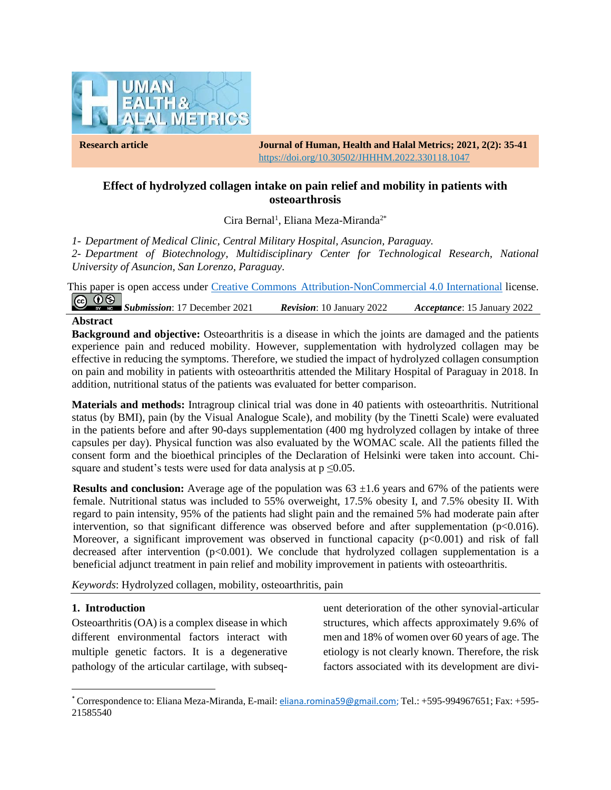

**Research article Journal of Human, Health and Halal Metrics; 2021, 2(2): 35-41** https://doi.org[/10.30502/JHHHM.2022.330118.1047](https://dx.doi.org/10.30502/jhhhm.2022.330118.1047)

## **Effect of hydrolyzed collagen intake on pain relief and mobility in patients with osteoarthrosis**

Cira Bernal<sup>1</sup>, Eliana Meza-Miranda<sup>2\*</sup>

*1- Department of Medical Clinic, Central Military Hospital, Asuncion, Paraguay.*

*2- Department of Biotechnology, Multidisciplinary Center for Technological Research, National University of Asuncion, San Lorenzo, Paraguay.*

This paper is open access under Creative Commons [Attribution-NonCommercial 4.0 International](https://creativecommons.org/licenses/by-nc/4.0/) license.  $\odot$  $\left( \mathrm{cc} \right)$ 

*Submission*: 17 December 2021 *Revision*: 10 January 2022 *Acceptance*: 15 January 2022

### **Abstract**

**Background and objective:** Osteoarthritis is a disease in which the joints are damaged and the patients experience pain and reduced mobility. However, supplementation with hydrolyzed collagen may be effective in reducing the symptoms. Therefore, we studied the impact of hydrolyzed collagen consumption on pain and mobility in patients with osteoarthritis attended the Military Hospital of Paraguay in 2018. In addition, nutritional status of the patients was evaluated for better comparison.

**Materials and methods:** Intragroup clinical trial was done in 40 patients with osteoarthritis. Nutritional status (by BMI), pain (by the Visual Analogue Scale), and mobility (by the Tinetti Scale) were evaluated in the patients before and after 90-days supplementation (400 mg hydrolyzed collagen by intake of three capsules per day). Physical function was also evaluated by the WOMAC scale. All the patients filled the consent form and the bioethical principles of the Declaration of Helsinki were taken into account. Chisquare and student's tests were used for data analysis at  $p \leq 0.05$ .

**Results and conclusion:** Average age of the population was  $63 \pm 1.6$  years and  $67\%$  of the patients were female. Nutritional status was included to 55% overweight, 17.5% obesity I, and 7.5% obesity II. With regard to pain intensity, 95% of the patients had slight pain and the remained 5% had moderate pain after intervention, so that significant difference was observed before and after supplementation ( $p<0.016$ ). Moreover, a significant improvement was observed in functional capacity ( $p<0.001$ ) and risk of fall decreased after intervention  $(p<0.001)$ . We conclude that hydrolyzed collagen supplementation is a beneficial adjunct treatment in pain relief and mobility improvement in patients with osteoarthritis.

*Keywords*: Hydrolyzed collagen, mobility, osteoarthritis, pain

#### **1. Introduction**

Osteoarthritis (OA) is a complex disease in which different environmental factors interact with multiple genetic factors. It is a degenerative pathology of the articular cartilage, with subsequent deterioration of the other synovial-articular structures, which affects approximately 9.6% of men and 18% of women over 60 years of age. The etiology is not clearly known. Therefore, the risk factors associated with its development are divi-

<sup>\*</sup> Correspondence to: Eliana Meza-Miranda, E-mail: [eliana.romina59@gmail.com;](mailto:eliana.romina59@gmail.com) Tel.: +595-994967651; Fax: +595- 21585540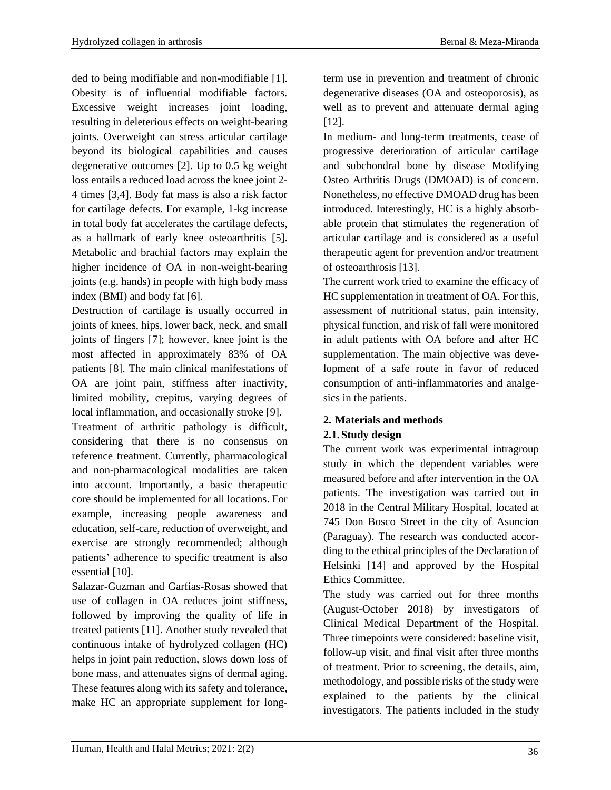ded to being modifiable and non-modifiable [1]. Obesity is of influential modifiable factors. Excessive weight increases joint loading, resulting in deleterious effects on weight-bearing joints. Overweight can stress articular cartilage beyond its biological capabilities and causes degenerative outcomes [2]. Up to 0.5 kg weight loss entails a reduced load across the knee joint 2- 4 times [3,4]. Body fat mass is also a risk factor for cartilage defects. For example, 1-kg increase in total body fat accelerates the cartilage defects, as a hallmark of early knee osteoarthritis [5]. Metabolic and brachial factors may explain the higher incidence of OA in non-weight-bearing joints (e.g. hands) in people with high body mass index (BMI) and body fat [6].

Destruction of cartilage is usually occurred in joints of knees, hips, lower back, neck, and small joints of fingers [7]; however, knee joint is the most affected in approximately 83% of OA patients [8]. The main clinical manifestations of OA are joint pain, stiffness after inactivity, limited mobility, crepitus, varying degrees of local inflammation, and occasionally stroke [9].

Treatment of arthritic pathology is difficult, considering that there is no consensus on reference treatment. Currently, pharmacological and non-pharmacological modalities are taken into account. Importantly, a basic therapeutic core should be implemented for all locations. For example, increasing people awareness and education, self-care, reduction of overweight, and exercise are strongly recommended; although patients' adherence to specific treatment is also essential [10].

Salazar-Guzman and Garfias-Rosas showed that use of collagen in OA reduces joint stiffness, followed by improving the quality of life in treated patients [11]. Another study revealed that continuous intake of hydrolyzed collagen (HC) helps in joint pain reduction, slows down loss of bone mass, and attenuates signs of dermal aging. These features along with its safety and tolerance, make HC an appropriate supplement for longterm use in prevention and treatment of chronic degenerative diseases (OA and osteoporosis), as well as to prevent and attenuate dermal aging [12].

In medium- and long-term treatments, cease of progressive deterioration of articular cartilage and subchondral bone by disease Modifying Osteo Arthritis Drugs (DMOAD) is of concern. Nonetheless, no effective DMOAD drug has been introduced. Interestingly, HC is a highly absorbable protein that stimulates the regeneration of articular cartilage and is considered as a useful therapeutic agent for prevention and/or treatment of osteoarthrosis [13].

The current work tried to examine the efficacy of HC supplementation in treatment of OA. For this, assessment of nutritional status, pain intensity, physical function, and risk of fall were monitored in adult patients with OA before and after HC supplementation. The main objective was development of a safe route in favor of reduced consumption of anti-inflammatories and analgesics in the patients.

### **2. Materials and methods 2.1.Study design**

The current work was experimental intragroup study in which the dependent variables were measured before and after intervention in the OA patients. The investigation was carried out in 2018 in the Central Military Hospital, located at 745 Don Bosco Street in the city of Asuncion (Paraguay). The research was conducted according to the ethical principles of the Declaration of Helsinki [14] and approved by the Hospital Ethics Committee.

The study was carried out for three months (August-October 2018) by investigators of Clinical Medical Department of the Hospital. Three timepoints were considered: baseline visit, follow-up visit, and final visit after three months of treatment. Prior to screening, the details, aim, methodology, and possible risks of the study were explained to the patients by the clinical investigators. The patients included in the study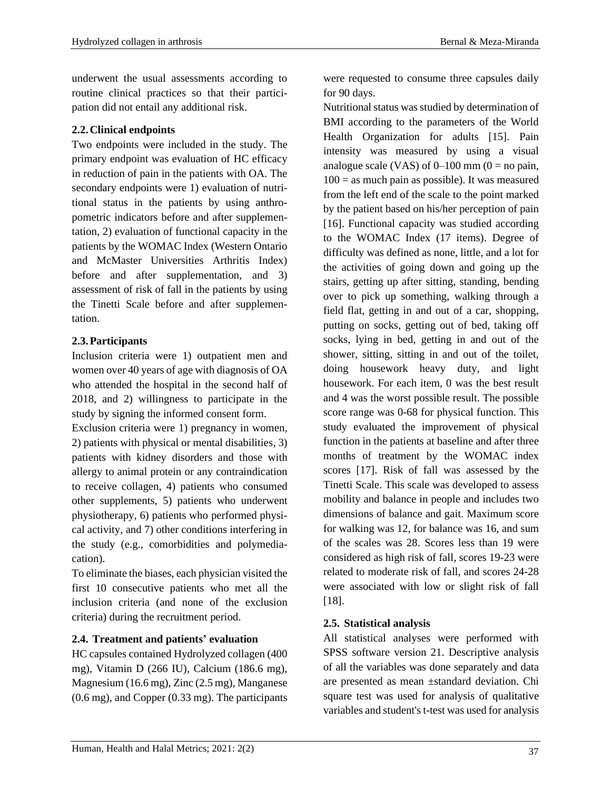underwent the usual assessments according to routine clinical practices so that their participation did not entail any additional risk.

# **2.2.Clinical endpoints**

Two endpoints were included in the study. The primary endpoint was evaluation of HC efficacy in reduction of pain in the patients with OA. The secondary endpoints were 1) evaluation of nutritional status in the patients by using anthropometric indicators before and after supplementation, 2) evaluation of functional capacity in the patients by the WOMAC Index (Western Ontario and McMaster Universities Arthritis Index) before and after supplementation, and 3) assessment of risk of fall in the patients by using the Tinetti Scale before and after supplementation.

# **2.3.Participants**

Inclusion criteria were 1) outpatient men and women over 40 years of age with diagnosis of OA who attended the hospital in the second half of 2018, and 2) willingness to participate in the study by signing the informed consent form.

Exclusion criteria were 1) pregnancy in women, 2) patients with physical or mental disabilities, 3) patients with kidney disorders and those with allergy to animal protein or any contraindication to receive collagen, 4) patients who consumed other supplements, 5) patients who underwent physiotherapy, 6) patients who performed physical activity, and 7) other conditions interfering in the study (e.g., comorbidities and polymediacation).

To eliminate the biases, each physician visited the first 10 consecutive patients who met all the inclusion criteria (and none of the exclusion criteria) during the recruitment period.

# **2.4. Treatment and patients' evaluation**

HC capsules contained Hydrolyzed collagen (400 mg), Vitamin D (266 IU), Calcium (186.6 mg), Magnesium (16.6 mg), Zinc (2.5 mg), Manganese (0.6 mg), and Copper (0.33 mg). The participants were requested to consume three capsules daily for 90 days.

Nutritional status was studied by determination of BMI according to the parameters of the World Health Organization for adults [15]. Pain intensity was measured by using a visual analogue scale (VAS) of  $0-100$  mm ( $0 =$  no pain,  $100 =$  as much pain as possible). It was measured from the left end of the scale to the point marked by the patient based on his/her perception of pain [16]. Functional capacity was studied according to the WOMAC Index (17 items). Degree of difficulty was defined as none, little, and a lot for the activities of going down and going up the stairs, getting up after sitting, standing, bending over to pick up something, walking through a field flat, getting in and out of a car, shopping, putting on socks, getting out of bed, taking off socks, lying in bed, getting in and out of the shower, sitting, sitting in and out of the toilet, doing housework heavy duty, and light housework. For each item, 0 was the best result and 4 was the worst possible result. The possible score range was 0-68 for physical function. This study evaluated the improvement of physical function in the patients at baseline and after three months of treatment by the WOMAC index scores [17]. Risk of fall was assessed by the Tinetti Scale. This scale was developed to assess mobility and balance in people and includes two dimensions of balance and gait. Maximum score for walking was 12, for balance was 16, and sum of the scales was 28. Scores less than 19 were considered as high risk of fall, scores 19-23 were related to moderate risk of fall, and scores 24-28 were associated with low or slight risk of fall [18].

# **2.5. Statistical analysis**

All statistical analyses were performed with SPSS software version 21. Descriptive analysis of all the variables was done separately and data are presented as mean ±standard deviation. Chi square test was used for analysis of qualitative variables and student's t-test was used for analysis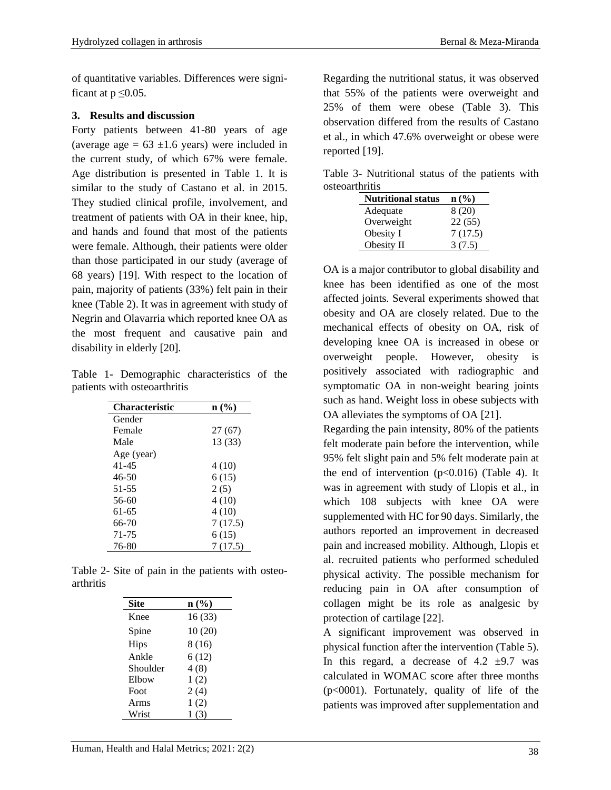of quantitative variables. Differences were significant at  $p \leq 0.05$ .

## **3. Results and discussion**

Forty patients between 41-80 years of age (average age =  $63 \pm 1.6$  years) were included in the current study, of which 67% were female. Age distribution is presented in Table 1. It is similar to the study of Castano et al. in 2015. They studied clinical profile, involvement, and treatment of patients with OA in their knee, hip, and hands and found that most of the patients were female. Although, their patients were older than those participated in our study (average of 68 years) [19]. With respect to the location of pain, majority of patients (33%) felt pain in their knee (Table 2). It was in agreement with study of Negrin and Olavarria which reported knee OA as the most frequent and causative pain and disability in elderly [20].

Table 1- Demographic characteristics of the patients with osteoarthritis

| <b>Characteristic</b> | $\mathbf{n}(\%)$ |
|-----------------------|------------------|
| Gender                |                  |
| Female                | 27 (67)          |
| Male                  | 13 (33)          |
| Age (year)            |                  |
| 41-45                 | 4(10)            |
| $46 - 50$             | 6(15)            |
| 51-55                 | 2(5)             |
| 56-60                 | 4(10)            |
| 61-65                 | 4(10)            |
| 66-70                 | 7(17.5)          |
| 71-75                 | 6(15)            |
| 76-80                 | 7(17.5)          |

Table 2- Site of pain in the patients with osteoarthritis

| $\mathbf{n}(\%)$ |
|------------------|
|                  |
| 16 (33)          |
| 10(20)           |
| 8 (16)           |
| 6(12)            |
| 4(8)             |
| 1(2)             |
| 2(4)             |
| 1(2)             |
| 1                |
|                  |

Regarding the nutritional status, it was observed that 55% of the patients were overweight and 25% of them were obese (Table 3). This observation differed from the results of Castano et al., in which 47.6% overweight or obese were reported [19].

Table 3- Nutritional status of the patients with osteoarthritis

| <b>Nutritional status</b> | $\mathbf{n}(\mathcal{V}_0)$ |
|---------------------------|-----------------------------|
| Adequate                  | 8(20)                       |
| Overweight                | 22(55)                      |
| Obesity I                 | 7(17.5)                     |
| Obesity II                | 3(7.5)                      |

OA is a major contributor to global disability and knee has been identified as one of the most affected joints. Several experiments showed that obesity and OA are closely related. Due to the mechanical effects of obesity on OA, risk of developing knee OA is increased in obese or overweight people. However, obesity is positively associated with radiographic and symptomatic OA in non-weight bearing joints such as hand. Weight loss in obese subjects with OA alleviates the symptoms of OA [21].

Regarding the pain intensity, 80% of the patients felt moderate pain before the intervention, while 95% felt slight pain and 5% felt moderate pain at the end of intervention  $(p<0.016)$  (Table 4). It was in agreement with study of Llopis et al., in which 108 subjects with knee OA were supplemented with HC for 90 days. Similarly, the authors reported an improvement in decreased pain and increased mobility. Although, Llopis et al. recruited patients who performed scheduled physical activity. The possible mechanism for reducing pain in OA after consumption of collagen might be its role as analgesic by protection of cartilage [22].

A significant improvement was observed in physical function after the intervention (Table 5). In this regard, a decrease of  $4.2 \pm 9.7$  was calculated in WOMAC score after three months (p<0001). Fortunately, quality of life of the patients was improved after supplementation and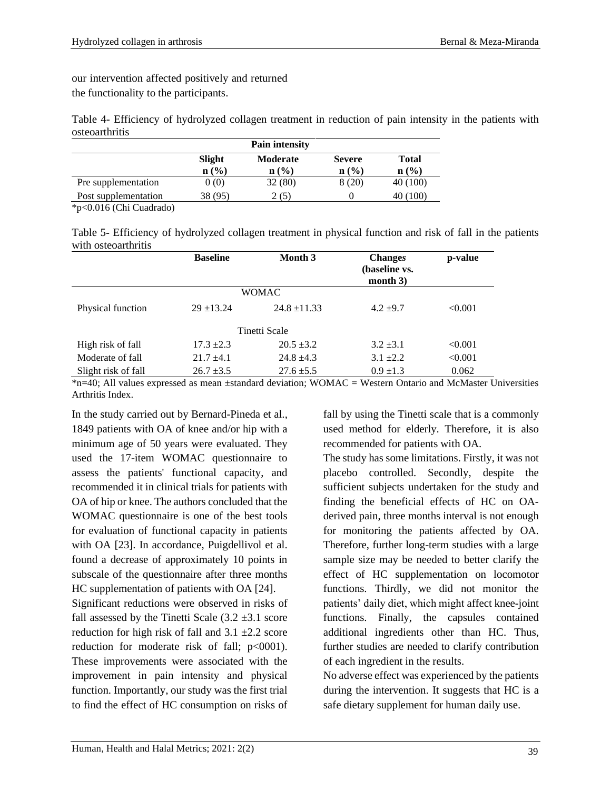our intervention affected positively and returned the functionality to the participants.

Table 4- Efficiency of hydrolyzed collagen treatment in reduction of pain intensity in the patients with osteoarthritis

|                      | <b>Pain intensity</b>      |                                     |                                   |                                  |
|----------------------|----------------------------|-------------------------------------|-----------------------------------|----------------------------------|
|                      | Slight<br>$\mathbf{n}(\%)$ | <b>Moderate</b><br>$\mathbf{n}(\%)$ | <b>Severe</b><br>$\mathbf{n}(\%)$ | <b>Total</b><br>$\mathbf{n}(\%)$ |
| Pre supplementation  | 0(0)                       | 32 (80)                             | 8(20)                             | 40 (100)                         |
| Post supplementation | 38 (95)                    | 2(5)                                |                                   | 40 (100)                         |

\*p<0.016 (Chi Cuadrado)

Table 5- Efficiency of hydrolyzed collagen treatment in physical function and risk of fall in the patients with osteoarthritis

|                     | <b>Baseline</b> | Month 3          | <b>Changes</b><br>(baseline vs.<br>month $3)$ | p-value |
|---------------------|-----------------|------------------|-----------------------------------------------|---------|
|                     |                 | <b>WOMAC</b>     |                                               |         |
| Physical function   | $29 + 13.24$    | $24.8 \pm 11.33$ | $4.2 \pm 9.7$                                 | < 0.001 |
|                     |                 | Tinetti Scale    |                                               |         |
| High risk of fall   | $17.3 \pm 2.3$  | $20.5 \pm 3.2$   | $3.2 \pm 3.1$                                 | < 0.001 |
| Moderate of fall    | $21.7 + 4.1$    | $24.8 + 4.3$     | $3.1 \pm 2.2$                                 | < 0.001 |
| Slight risk of fall | $26.7 \pm 3.5$  | $27.6 \pm 5.5$   | $0.9 \pm 1.3$                                 | 0.062   |

\*n=40; All values expressed as mean ±standard deviation; WOMAC = Western Ontario and McMaster Universities Arthritis Index.

In the study carried out by Bernard-Pineda et al., 1849 patients with OA of knee and/or hip with a minimum age of 50 years were evaluated. They used the 17-item WOMAC questionnaire to assess the patients' functional capacity, and recommended it in clinical trials for patients with OA of hip or knee. The authors concluded that the WOMAC questionnaire is one of the best tools for evaluation of functional capacity in patients with OA [23]. In accordance, Puigdellivol et al. found a decrease of approximately 10 points in subscale of the questionnaire after three months HC supplementation of patients with OA [24].

Significant reductions were observed in risks of fall assessed by the Tinetti Scale  $(3.2 \pm 3.1 \text{ score})$ reduction for high risk of fall and  $3.1 \pm 2.2$  score reduction for moderate risk of fall; p<0001). These improvements were associated with the improvement in pain intensity and physical function. Importantly, our study was the first trial to find the effect of HC consumption on risks of

fall by using the Tinetti scale that is a commonly used method for elderly. Therefore, it is also recommended for patients with OA.

The study has some limitations. Firstly, it was not placebo controlled. Secondly, despite the sufficient subjects undertaken for the study and finding the beneficial effects of HC on OAderived pain, three months interval is not enough for monitoring the patients affected by OA. Therefore, further long-term studies with a large sample size may be needed to better clarify the effect of HC supplementation on locomotor functions. Thirdly, we did not monitor the patients' daily diet, which might affect knee-joint functions. Finally, the capsules contained additional ingredients other than HC. Thus, further studies are needed to clarify contribution of each ingredient in the results.

No adverse effect was experienced by the patients during the intervention. It suggests that HC is a safe dietary supplement for human daily use.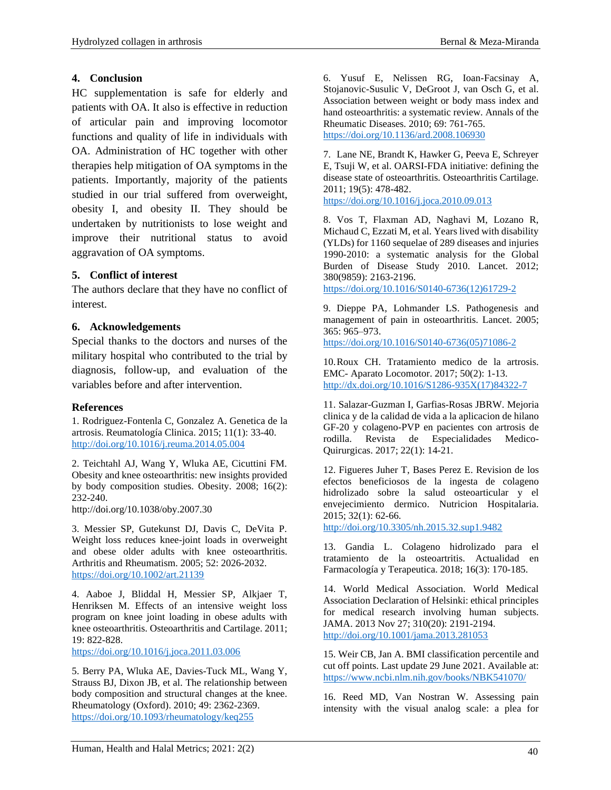## **4. Conclusion**

HC supplementation is safe for elderly and patients with OA. It also is effective in reduction of articular pain and improving locomotor functions and quality of life in individuals with OA. Administration of HC together with other therapies help mitigation of OA symptoms in the patients. Importantly, majority of the patients studied in our trial suffered from overweight, obesity I, and obesity II. They should be undertaken by nutritionists to lose weight and improve their nutritional status to avoid aggravation of OA symptoms.

### **5. Conflict of interest**

The authors declare that they have no conflict of interest.

### **6. Acknowledgements**

Special thanks to the doctors and nurses of the military hospital who contributed to the trial by diagnosis, follow-up, and evaluation of the variables before and after intervention.

#### **References**

1. Rodriguez-Fontenla C, Gonzalez A. Genetica de la artrosis. Reumatología Clinica. 2015; 11(1): 33-40. <http://doi.org/10.1016/j.reuma.2014.05.004>

2. Teichtahl AJ, Wang Y, Wluka AE, Cicuttini FM. Obesity and knee osteoarthritis: new insights provided by body composition studies. Obesity. 2008; 16(2): 232-240.

http://doi.org[/10.1038/oby.2007.30](https://doi.org/10.1038/oby.2007.30)

3. Messier SP, Gutekunst DJ, Davis C, DeVita P. Weight loss reduces knee-joint loads in overweight and obese older adults with knee osteoarthritis. Arthritis and Rheumatism. 2005; 52: 2026-2032. <https://doi.org/10.1002/art.21139>

4. Aaboe J, Bliddal H, Messier SP, Alkjaer T, Henriksen M. Effects of an intensive weight loss program on knee joint loading in obese adults with knee osteoarthritis. Osteoarthritis and Cartilage. 2011; 19: 822-828.

<https://doi.org/10.1016/j.joca.2011.03.006>

5. Berry PA, Wluka AE, Davies-Tuck ML, Wang Y, Strauss BJ, Dixon JB, et al. The relationship between body composition and structural changes at the knee. Rheumatology (Oxford). 2010; 49: 2362-2369. <https://doi.org/10.1093/rheumatology/keq255>

6. Yusuf E, Nelissen RG, Ioan-Facsinay A, Stojanovic-Susulic V, DeGroot J, van Osch G, et al. Association between weight or body mass index and hand osteoarthritis: a systematic review. Annals of the Rheumatic Diseases. 2010; 69: 761-765. <https://doi.org/10.1136/ard.2008.106930>

7. Lane NE, Brandt K, Hawker G, Peeva E, Schreyer E, Tsuji W, et al. OARSI-FDA initiative: defining the disease state of osteoarthritis. Osteoarthritis Cartilage. 2011; 19(5): 478-482.

<https://doi.org/10.1016/j.joca.2010.09.013>

8. Vos T, Flaxman AD, Naghavi M, Lozano R, Michaud C, Ezzati M, et al. Years lived with disability (YLDs) for 1160 sequelae of 289 diseases and injuries 1990-2010: a systematic analysis for the Global Burden of Disease Study 2010. Lancet. 2012; 380(9859): 2163-2196.

[https://doi.org/10.1016/S0140-6736\(12\)61729-2](https://doi.org/10.1016/S0140-6736(12)61729-2)

9. Dieppe PA, Lohmander LS. Pathogenesis and management of pain in osteoarthritis. Lancet. 2005; 365: 965–973.

[https://doi.org/10.1016/S0140-6736\(05\)71086-2](https://doi.org/10.1016/S0140-6736(05)71086-2)

10.Roux CH. Tratamiento medico de la artrosis. EMC- Aparato Locomotor. 2017; 50(2): 1-13. [http://dx.doi.org/10.1016/S1286-935X\(17\)84322-7](http://dx.doi.org/10.1016/S1286-935X(17)84322-7)

11. Salazar-Guzman I, Garfias-Rosas JBRW. Mejoria clinica y de la calidad de vida a la aplicacion de hilano GF-20 y colageno-PVP en pacientes con artrosis de rodilla. Revista de Especialidades Quirurgicas. 2017; 22(1): 14-21.

12. Figueres Juher T, Bases Perez E. Revision de los efectos beneficiosos de la ingesta de colageno hidrolizado sobre la salud osteoarticular y el envejecimiento dermico. Nutricion Hospitalaria. 2015; 32(1): 62-66.

<http://doi.org/10.3305/nh.2015.32.sup1.9482>

13. Gandia L. Colageno hidrolizado para el tratamiento de la osteoartritis. Actualidad en Farmacología y Terapeutica. 2018; 16(3): 170-185.

14. World Medical Association. World Medical Association Declaration of Helsinki: ethical principles for medical research involving human subjects. JAMA. 2013 Nov 27; 310(20): 2191-2194. <http://doi.org/10.1001/jama.2013.281053>

15. Weir CB, Jan A. BMI classification percentile and cut off points. Last update 29 June 2021. Available at: <https://www.ncbi.nlm.nih.gov/books/NBK541070/>

16. Reed MD, Van Nostran W. Assessing pain intensity with the visual analog scale: a plea for